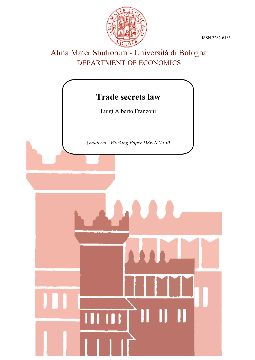ISSN 2282-6483



# Alma Mater Studiorum - Università di Bologna DEPARTMENT OF ECONOMICS

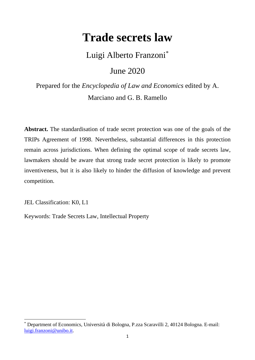# **Trade secrets law**

Luigi Alberto Franzoni[\\*](#page-1-0)

June 2020

Prepared for the *Encyclopedia of Law and Economics* edited by A. Marciano and G. B. Ramello

**Abstract.** The standardisation of trade secret protection was one of the goals of the TRIPs Agreement of 1998. Nevertheless, substantial differences in this protection remain across jurisdictions. When defining the optimal scope of trade secrets law, lawmakers should be aware that strong trade secret protection is likely to promote inventiveness, but it is also likely to hinder the diffusion of knowledge and prevent competition.

JEL Classification: K0, L1

Keywords: Trade Secrets Law, Intellectual Property

<span id="page-1-0"></span><sup>\*</sup> Department of Economics, Università di Bologna, P.zza Scaravilli 2, 40124 Bologna. E-mail: [luigi.franzoni@unibo.it.](mailto:luigi.franzoni@unibo.it)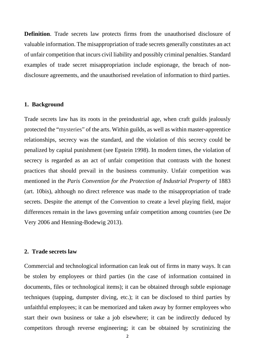**Definition**. Trade secrets law protects firms from the unauthorised disclosure of valuable information. The misappropriation of trade secrets generally constitutes an act of unfair competition that incurs civil liability and possibly criminal penalties. Standard examples of trade secret misappropriation include espionage, the breach of nondisclosure agreements, and the unauthorised revelation of information to third parties.

#### **1. Background**

Trade secrets law has its roots in the preindustrial age, when craft guilds jealously protected the "mysteries" of the arts. Within guilds, as well as within master-apprentice relationships, secrecy was the standard, and the violation of this secrecy could be penalized by capital punishment (see Epstein 1998). In modern times, the violation of secrecy is regarded as an act of unfair competition that contrasts with the honest practices that should prevail in the business community. Unfair competition was mentioned in the *Paris Convention for the Protection of Industrial Property* of 1883 (art. 10bis), although no direct reference was made to the misappropriation of trade secrets. Despite the attempt of the Convention to create a level playing field, major differences remain in the laws governing unfair competition among countries (see De Very 2006 and Henning-Bodewig 2013).

## **2. Trade secrets law**

Commercial and technological information can leak out of firms in many ways. It can be stolen by employees or third parties (in the case of information contained in documents, files or technological items); it can be obtained through subtle espionage techniques (tapping, dumpster diving, etc.); it can be disclosed to third parties by unfaithful employees; it can be memorized and taken away by former employees who start their own business or take a job elsewhere; it can be indirectly deduced by competitors through reverse engineering; it can be obtained by scrutinizing the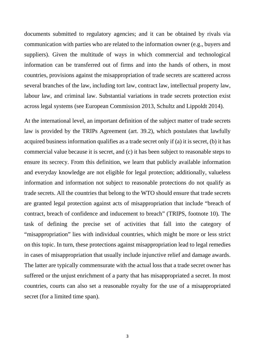documents submitted to regulatory agencies; and it can be obtained by rivals via communication with parties who are related to the information owner (e.g., buyers and suppliers). Given the multitude of ways in which commercial and technological information can be transferred out of firms and into the hands of others, in most countries, provisions against the misappropriation of trade secrets are scattered across several branches of the law, including tort law, contract law, intellectual property law, labour law, and criminal law. Substantial variations in trade secrets protection exist across legal systems (see European Commission 2013, Schultz and Lippoldt 2014).

At the international level, an important definition of the subject matter of trade secrets law is provided by the TRIPs Agreement (art. 39.2), which postulates that lawfully acquired business information qualifies as a trade secret only if (a) it is secret, (b) it has commercial value because it is secret, and (c) it has been subject to reasonable steps to ensure its secrecy. From this definition, we learn that publicly available information and everyday knowledge are not eligible for legal protection; additionally, valueless information and information not subject to reasonable protections do not qualify as trade secrets. All the countries that belong to the WTO should ensure that trade secrets are granted legal protection against acts of misappropriation that include "breach of contract, breach of confidence and inducement to breach" (TRIPS, footnote 10). The task of defining the precise set of activities that fall into the category of "misappropriation" lies with individual countries, which might be more or less strict on this topic. In turn, these protections against misappropriation lead to legal remedies in cases of misappropriation that usually include injunctive relief and damage awards. The latter are typically commensurate with the actual loss that a trade secret owner has suffered or the unjust enrichment of a party that has misappropriated a secret. In most countries, courts can also set a reasonable royalty for the use of a misappropriated secret (for a limited time span).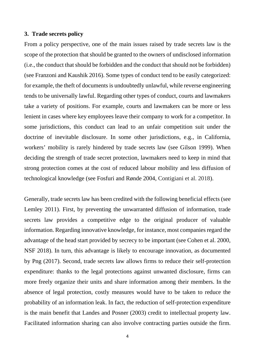#### **3. Trade secrets policy**

From a policy perspective, one of the main issues raised by trade secrets law is the scope of the protection that should be granted to the owners of undisclosed information (i.e., the conduct that should be forbidden and the conduct that should not be forbidden) (see Franzoni and Kaushik 2016). Some types of conduct tend to be easily categorized: for example, the theft of documents is undoubtedly unlawful, while reverse engineering tends to be universally lawful. Regarding other types of conduct, courts and lawmakers take a variety of positions. For example, courts and lawmakers can be more or less lenient in cases where key employees leave their company to work for a competitor. In some jurisdictions, this conduct can lead to an unfair competition suit under the doctrine of inevitable disclosure. In some other jurisdictions, e.g., in California, workers' mobility is rarely hindered by trade secrets law (see Gilson 1999). When deciding the strength of trade secret protection, lawmakers need to keep in mind that strong protection comes at the cost of reduced labour mobility and less diffusion of technological knowledge (see Fosfuri and Rønde 2004, Contigiani et al. 2018).

Generally, trade secrets law has been credited with the following beneficial effects (see Lemley 2011). First, by preventing the unwarranted diffusion of information, trade secrets law provides a competitive edge to the original producer of valuable information. Regarding innovative knowledge, for instance, most companies regard the advantage of the head start provided by secrecy to be important (see Cohen et al. 2000, NSF 2018). In turn, this advantage is likely to encourage innovation, as documented by Png (2017). Second, trade secrets law allows firms to reduce their self-protection expenditure: thanks to the legal protections against unwanted disclosure, firms can more freely organize their units and share information among their members. In the absence of legal protection, costly measures would have to be taken to reduce the probability of an information leak. In fact, the reduction of self-protection expenditure is the main benefit that Landes and Posner (2003) credit to intellectual property law. Facilitated information sharing can also involve contracting parties outside the firm.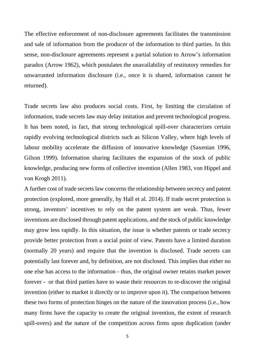The effective enforcement of non-disclosure agreements facilitates the transmission and sale of information from the producer of the information to third parties. In this sense, non-disclosure agreements represent a partial solution to Arrow's information paradox (Arrow 1962), which postulates the unavailability of restitutory remedies for unwarranted information disclosure (i.e., once it is shared, information cannot be returned).

Trade secrets law also produces social costs. First, by limiting the circulation of information, trade secrets law may delay imitation and prevent technological progress. It has been noted, in fact, that strong technological spill-over characterizes certain rapidly evolving technological districts such as Silicon Valley, where high levels of labour mobility accelerate the diffusion of innovative knowledge (Saxenian 1996, Gilson 1999). Information sharing facilitates the expansion of the stock of public knowledge, producing new forms of collective invention (Allen 1983, von Hippel and von Krogh 2011).

A further cost of trade secrets law concerns the relationship between secrecy and patent protection (explored, more generally, by Hall et al. 2014). If trade secret protection is strong, inventors' incentives to rely on the patent system are weak. Thus, fewer inventions are disclosed through patent applications, and the stock of public knowledge may grow less rapidly. In this situation, the issue is whether patents or trade secrecy provide better protection from a social point of view. Patents have a limited duration (normally 20 years) and require that the invention is disclosed. Trade secrets can potentially last forever and, by definition, are not disclosed. This implies that either no one else has access to the information - thus, the original owner retains market power forever - or that third parties have to waste their resources to re-discover the original invention (either to market it directly or to improve upon it). The comparison between these two forms of protection hinges on the nature of the innovation process (i.e., how many firms have the capacity to create the original invention, the extent of research spill-overs) and the nature of the competition across firms upon duplication (under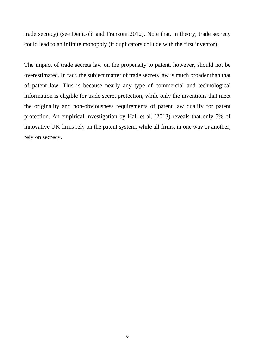trade secrecy) (see Denicolò and Franzoni 2012). Note that, in theory, trade secrecy could lead to an infinite monopoly (if duplicators collude with the first inventor).

The impact of trade secrets law on the propensity to patent, however, should not be overestimated. In fact, the subject matter of trade secrets law is much broader than that of patent law. This is because nearly any type of commercial and technological information is eligible for trade secret protection, while only the inventions that meet the originality and non-obviousness requirements of patent law qualify for patent protection. An empirical investigation by Hall et al. (2013) reveals that only 5% of innovative UK firms rely on the patent system, while all firms, in one way or another, rely on secrecy.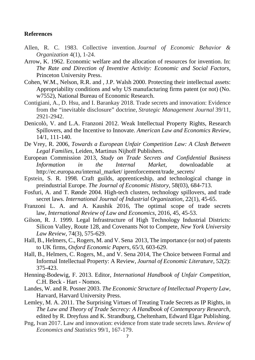### **References**

- Allen, R. C. 1983. Collective invention. *Journal of Economic Behavior & Organization* 4(1), 1-24.
- Arrow, K. 1962. Economic welfare and the allocation of resources for invention. In: *The Rate and Direction of Inventive Activity: Economic and Social Factors,*  Princeton University Press.
- Cohen, W.M., Nelson, R.R. and , J.P. Walsh 2000. Protecting their intellectual assets: Appropriability conditions and why US manufacturing firms patent (or not) (No. w7552), National Bureau of Economic Research.
- Contigiani, A., D. Hsu, and I. Barankay 2018. Trade secrets and innovation: Evidence from the "inevitable disclosure" doctrine, *Strategic Management Journal* 39/11, 2921-2942.
- Denicolò, V. and L.A. Franzoni 2012. Weak Intellectual Property Rights, Research Spillovers, and the Incentive to Innovate. *American Law and Economics Review*, 14/1, 111-140.
- De Vrey, R. 2006, *Towards a European Unfair Competition Law: A Clash Between Legal Families,* Leiden, Martinus Nijhoff Publishers.
- European Commission 2013, *Study on Trade Secrets and Confidential Business Information in the Internal Market*, downloadable at http://ec.europa.eu/internal\_market/ iprenforcement/trade\_secrets/
- Epstein, S. R. 1998. Craft guilds, apprenticeship, and technological change in preindustrial Europe. *The Journal of Economic History*, 58(03), 684-713.
- Fosfuri, A. and T. Rønde 2004. High-tech clusters, technology spillovers, and trade secret laws. *International Journal of Industrial Organization*, 22(1), 45-65.
- Franzoni L. A. and A. Kaushik 2016, The optimal scope of trade secrets law, *International Review of Law and Economics*, 2016, 45, 45-53.
- Gilson, R. J. 1999. Legal Infrastructure of High Technology Industrial Districts: Silicon Valley, Route 128, and Covenants Not to Compete, *New York University Law Review*, 74(3), 575-629.
- Hall, B., Helmers, C., Rogers, M. and V. Sena 2013, The importance (or not) of patents to UK firms, *Oxford Economic Papers*, 65/3, 603-629.
- Hall, B., Helmers, C. Rogers, M., and V. Sena 2014, The Choice between Formal and Informal Intellectual Property: A Review, *Journal of Economic Literature*, 52(2): 375-423.
- Henning-Bodewig, F. 2013. Editor, *International Handbook of Unfair Competition*, C.H. Beck - Hart - Nomos.
- Landes, W. and R. Posner 2003. *The Economic Structure of Intellectual Property Law*, Harvard, Harvard University Press.
- Lemley, M. A. 2011. The Surprising Virtues of Treating Trade Secrets as IP Rights, in *The Law and Theory of Trade Secrecy: A Handbook of Contemporary Research,*  edited by R. Dreyfuss and K. Strandburg, Cheltenham, Edward Elgar Publishing.
- Png, Ivan 2017. Law and innovation: evidence from state trade secrets laws. *Review of Economics and Statistics* 99/1, 167-179.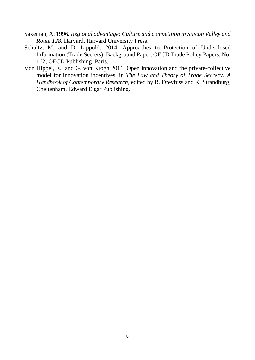- Saxenian, A. 1996. *Regional advantage: Culture and competition in Silicon Valley and Route 128*. Harvard, Harvard University Press.
- Schultz, M. and D. Lippoldt 2014, Approaches to Protection of Undisclosed Information (Trade Secrets): Background Paper, OECD Trade Policy Papers, No. 162, OECD Publishing, Paris.
- Von Hippel, E. and G. von Krogh 2011. Open innovation and the private-collective model for innovation incentives, in *The Law and Theory of Trade Secrecy: A Handbook of Contemporary Research,* edited by R. Dreyfuss and K. Strandburg, Cheltenham, Edward Elgar Publishing.